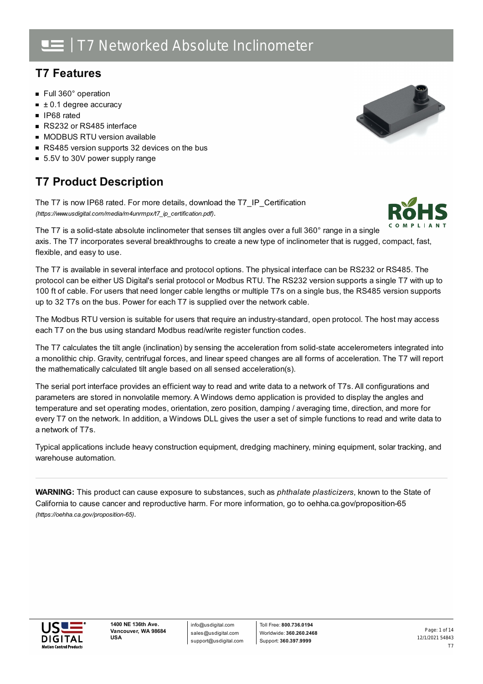### **T7 Features**

- Full 360° operation
- ± 0.1 degree accuracy
- **IP68** rated
- RS232 or RS485 interface
- **MODBUS RTU version available**
- RS485 version supports 32 devices on the bus
- 5.5V to 30V power supply range

### **T7 Product Description**

The T7 is now IP68 rated. For more details, [downlo](https://www.usdigital.com/media/m4unrmpx/t7_ip_certification.pdf)ad the T7\_IP\_Certification *(https://www.usdigital.com/media/m4unrmpx/t7\_ip\_certification.pdf)*.

The T7 is a solid-state absolute inclinometer that senses tilt angles over a full 360° range in a single axis. The T7 incorporates several breakthroughs to create a new type of inclinometer that is rugged, compact, fast, flexible, and easy to use.

The T7 is available in several interface and protocol options. The physical interface can be RS232 or RS485. The protocol can be either US Digital's serial protocol or Modbus RTU. The RS232 version supports a single T7 with up to 100 ft of cable. For users that need longer cable lengths or multiple T7s on a single bus, the RS485 version supports up to 32 T7s on the bus. Power for each T7 is supplied over the network cable.

The Modbus RTU version is suitable for users that require an industry-standard, open protocol. The host may access each T7 on the bus using standard Modbus read/write register function codes.

The T7 calculates the tilt angle (inclination) by sensing the acceleration from solid-state accelerometers integrated into a monolithic chip. Gravity, centrifugal forces, and linear speed changes are all forms of acceleration. The T7 will report the mathematically calculated tilt angle based on all sensed acceleration(s).

The serial port interface provides an efficient way to read and write data to a network of T7s. All configurations and parameters are stored in nonvolatile memory. A Windows demo application is provided to display the angles and temperature and set operating modes, orientation, zero position, damping / averaging time, direction, and more for every T7 on the network. In addition, a Windows DLL gives the user a set of simple functions to read and write data to a network of T7s.

Typical applications include heavy construction equipment, dredging machinery, mining equipment, solar tracking, and warehouse automation.

**WARNING:** This product can cause exposure to substances, such as *phthalate plasticizers*, known to the State of California to cause cancer and reproductive harm. For more information, go to oehha.ca.gov/proposition-65 *(https://oehha.ca.gov/proposition-65)*.



info@usdigital.com sales@usdigital.com support@usdigital.com



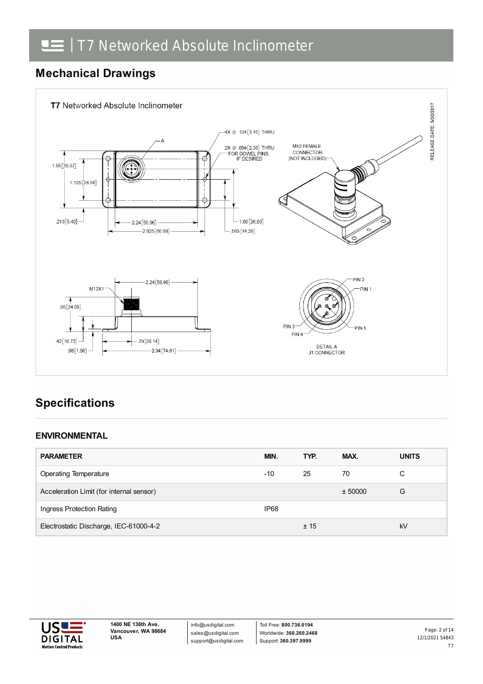### **Mechanical Drawings**



### **Specifications**

#### **ENVIRONMENTAL**

| <b>PARAMETER</b>                         | MIN.  | TYP. | MAX.    | <b>UNITS</b> |
|------------------------------------------|-------|------|---------|--------------|
| <b>Operating Temperature</b>             | $-10$ | 25   | 70      | C            |
| Acceleration Limit (for internal sensor) |       |      | ± 50000 | G            |
| Ingress Protection Rating                | IP68  |      |         |              |
| Electrostatic Discharge, IEC-61000-4-2   |       | ± 15 |         | kV           |



info@usdigital.com sales@usdigital.com support@usdigital.com

Toll Free: **800.736.0194** Worldwide: **360.260.2468** Support: **360.397.9999**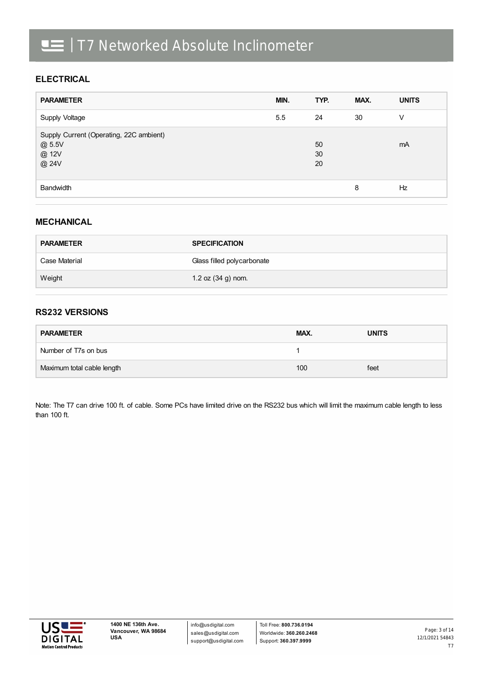#### **ELECTRICAL**

| <b>PARAMETER</b>                                                    | MIN. | TYP.           | MAX. | <b>UNITS</b> |
|---------------------------------------------------------------------|------|----------------|------|--------------|
| Supply Voltage                                                      | 5.5  | 24             | 30   | ٧            |
| Supply Current (Operating, 22C ambient)<br>@ 5.5V<br>@ 12V<br>@ 24V |      | 50<br>30<br>20 |      | mA           |
| <b>Bandwidth</b>                                                    |      |                | 8    | Hz           |

#### **MECHANICAL**

| <b>PARAMETER</b> | <b>SPECIFICATION</b>       |  |  |  |
|------------------|----------------------------|--|--|--|
| Case Material    | Glass filled polycarbonate |  |  |  |
| Weight           | 1.2 oz $(34 g)$ nom.       |  |  |  |

#### **RS232 VERSIONS**

| <b>PARAMETER</b>           | MAX. | <b>UNITS</b> |
|----------------------------|------|--------------|
| Number of T7s on bus       |      |              |
| Maximum total cable length | 100  | feet         |

Note: The T7 can drive 100 ft. of cable. Some PCs have limited drive on the RS232 bus which will limit the maximum cable length to less than 100 ft.

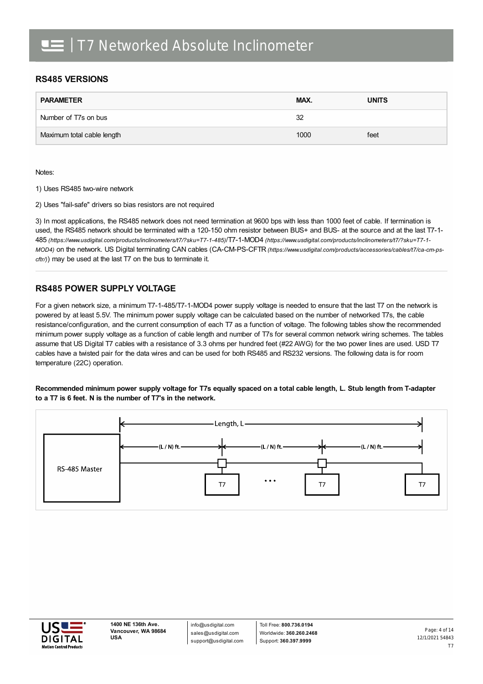#### **RS485 VERSIONS**

| <b>PARAMETER</b>           | MAX. | <b>UNITS</b> |
|----------------------------|------|--------------|
| Number of T7s on bus       | 32   |              |
| Maximum total cable length | 1000 | feet         |

Notes:

1) Uses RS485 two-wire network

2) Uses "fail-safe" drivers so bias resistors are not required

3) In most applications, the RS485 network does not need termination at 9600 bps with less than 1000 feet of cable. If termination is used, the RS485 network should be terminated with a 120-150 ohm resistor between BUS+ and BUS- at the source and at the last T7-1- 485 *[\(https://www.usdigital.com/products/inclinometers/t7/?sku=T7-1-485\)](https://www.usdigital.com/products/inclinometers/t7/?sku=T7-1-485)*/T7-1-MOD4 *[\(https://www.usdigital.com/products/inclinometers/t7/?sku=T7-1-](https://www.usdigital.com/products/inclinometers/t7/?sku=T7-1-MOD4) MOD4)* on the network. US Digital terminating CAN cables (CA-CM-PS-CFTR *[\(https://www.usdigital.com/products/accessories/cables/t7/ca-cm-ps](https://www.usdigital.com/products/accessories/cables/t7/ca-cm-ps-cftr/)cftr/)*) may be used at the last T7 on the bus to terminate it.

#### **RS485 POWER SUPPLY VOLTAGE**

For a given network size, a minimum T7-1-485/T7-1-MOD4 power supply voltage is needed to ensure that the last T7 on the network is powered by at least 5.5V. The minimum power supply voltage can be calculated based on the number of networked T7s, the cable resistance/configuration, and the current consumption of each T7 as a function of voltage. The following tables show the recommended minimum power supply voltage as a function of cable length and number of T7s for several common network wiring schemes. The tables assume that US Digital T7 cables with a resistance of 3.3 ohms per hundred feet (#22 AWG) for the two power lines are used. USD T7 cables have a twisted pair for the data wires and can be used for both RS485 and RS232 versions. The following data is for room temperature (22C) operation.

#### Recommended minimum power supply voltage for T7s equally spaced on a total cable length, L. Stub length from T-adapter **to a T7 is 6 feet. N is the number of T7's in the network.**





info@usdigital.com sales@usdigital.com support@usdigital.com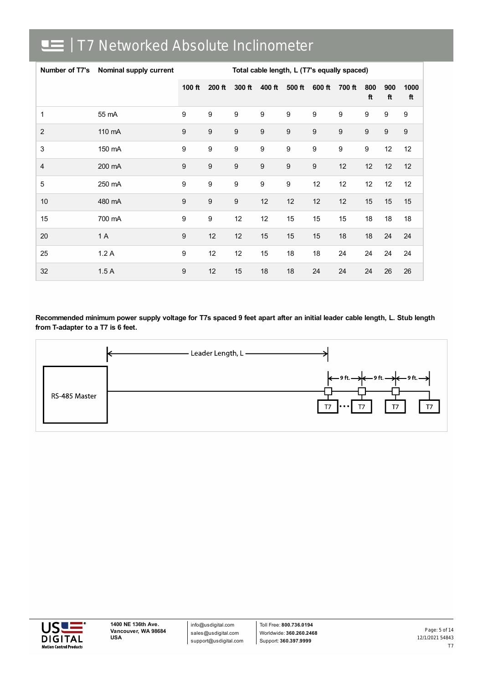| Number of T7's | Nominal supply current |                  |                  |                  |                  |                  |                  | Total cable length, L (T7's equally spaced) |           |           |                  |
|----------------|------------------------|------------------|------------------|------------------|------------------|------------------|------------------|---------------------------------------------|-----------|-----------|------------------|
|                |                        | $100$ ft         | $200$ ft         | 300 ft           | 400 ft           | 500 ft           | 600 ft           | 700 ft                                      | 800<br>ft | 900<br>ft | 1000<br>ft       |
| $\mathbf{1}$   | 55 mA                  | 9                | 9                | $9\,$            | 9                | $9\,$            | 9                | $9\,$                                       | 9         | 9         | 9                |
| $\overline{2}$ | 110 mA                 | $9\,$            | $9\,$            | $9\,$            | $9\,$            | $9\,$            | $9\,$            | $9\,$                                       | 9         | 9         | $\boldsymbol{9}$ |
| 3              | 150 mA                 | 9                | 9                | $\boldsymbol{9}$ | 9                | $\boldsymbol{9}$ | $9\,$            | $9\,$                                       | 9         | 12        | 12               |
| $\overline{4}$ | 200 mA                 | $\boldsymbol{9}$ | $9\,$            | $\boldsymbol{9}$ | $\boldsymbol{9}$ | $\boldsymbol{9}$ | $\boldsymbol{9}$ | 12                                          | 12        | 12        | 12               |
| 5              | 250 mA                 | $\boldsymbol{9}$ | $\boldsymbol{9}$ | $\boldsymbol{9}$ | $\boldsymbol{9}$ | $\boldsymbol{9}$ | 12               | 12                                          | 12        | 12        | 12               |
| $10$           | 480 mA                 | $\boldsymbol{9}$ | $\boldsymbol{9}$ | $\boldsymbol{9}$ | 12               | 12               | 12               | 12                                          | 15        | 15        | 15               |
| 15             | 700 mA                 | $\boldsymbol{9}$ | $\boldsymbol{9}$ | 12               | 12               | 15               | 15               | 15                                          | 18        | 18        | 18               |
| 20             | 1 A                    | $\boldsymbol{9}$ | 12               | 12               | 15               | 15               | 15               | 18                                          | 18        | 24        | 24               |
| 25             | 1.2A                   | 9                | 12               | 12               | 15               | 18               | 18               | 24                                          | 24        | 24        | 24               |
| 32             | 1.5A                   | $9\,$            | 12               | 15               | 18               | 18               | 24               | 24                                          | 24        | 26        | 26               |

Recommended minimum power supply voltage for T7s spaced 9 feet apart after an initial leader cable length, L. Stub length **from T-adapter to a T7 is 6 feet.**

|               | Leader Length, L-                                                                                                                               |
|---------------|-------------------------------------------------------------------------------------------------------------------------------------------------|
| RS-485 Master | $\leftarrow 9 \text{ ft.} \rightarrow 9 \text{ ft.} \rightarrow 9 \text{ ft.} \rightarrow$<br>$T7$ $\cdots$ $T7$  <br>  T7  <br>$\mathsf{I}$ T7 |

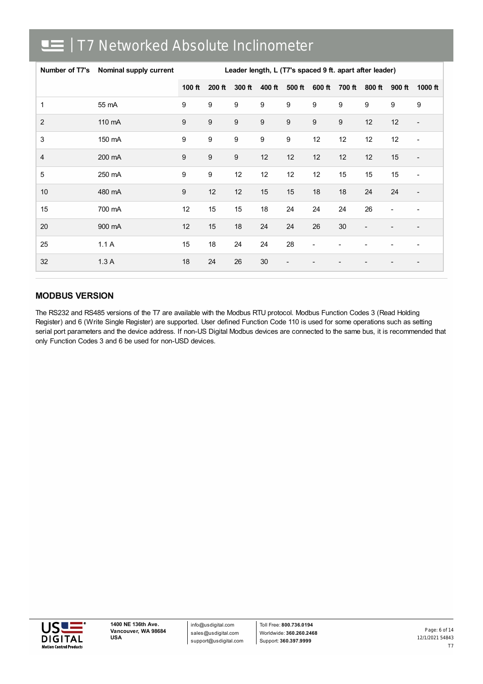| Number of T7's | Nominal supply current |                  |                  |                  |                  | Leader length, L (T7's spaced 9 ft. apart after leader) |                  |                  |        |        |                          |
|----------------|------------------------|------------------|------------------|------------------|------------------|---------------------------------------------------------|------------------|------------------|--------|--------|--------------------------|
|                |                        | 100 $ft$         | $200$ ft         | 300 ft           | 400 ft           | 500 ft                                                  | 600 ft           | 700 ft           | 800 ft | 900 ft | 1000 $ft$                |
| 1              | 55 mA                  | 9                | 9                | 9                | 9                | 9                                                       | 9                | 9                | 9      | 9      | 9                        |
| $\overline{2}$ | 110 mA                 | 9                | $\boldsymbol{9}$ | $\boldsymbol{9}$ | $\boldsymbol{9}$ | $\boldsymbol{9}$                                        | $\boldsymbol{9}$ | $\boldsymbol{9}$ | 12     | 12     |                          |
| 3              | 150 mA                 | 9                | $\boldsymbol{9}$ | $\boldsymbol{9}$ | $\boldsymbol{9}$ | $\boldsymbol{9}$                                        | 12               | 12               | 12     | 12     |                          |
| 4              | 200 mA                 | $\boldsymbol{9}$ | 9                | $\boldsymbol{9}$ | 12               | 12                                                      | 12               | 12               | 12     | 15     | $\overline{\phantom{a}}$ |
| 5              | 250 mA                 | 9                | 9                | 12               | 12               | 12                                                      | 12               | 15               | 15     | 15     | $\overline{\phantom{a}}$ |
| 10             | 480 mA                 | $\boldsymbol{9}$ | 12               | 12               | 15               | 15                                                      | 18               | 18               | 24     | 24     |                          |
| 15             | 700 mA                 | 12               | 15               | 15               | 18               | 24                                                      | 24               | 24               | 26     | ۰      |                          |
| 20             | 900 mA                 | 12               | 15               | 18               | 24               | 24                                                      | 26               | $30\,$           |        |        |                          |
| 25             | 1.1A                   | 15               | 18               | 24               | 24               | 28                                                      |                  |                  |        |        |                          |
| 32             | 1.3A                   | 18               | 24               | 26               | $30\,$           |                                                         |                  |                  |        |        |                          |

#### **MODBUS VERSION**

The RS232 and RS485 versions of the T7 are available with the Modbus RTU protocol. Modbus Function Codes 3 (Read Holding Register) and 6 (Write Single Register) are supported. User defined Function Code 110 is used for some operations such as setting serial port parameters and the device address. If non-US Digital Modbus devices are connected to the same bus, it is recommended that only Function Codes 3 and 6 be used for non-USD devices.

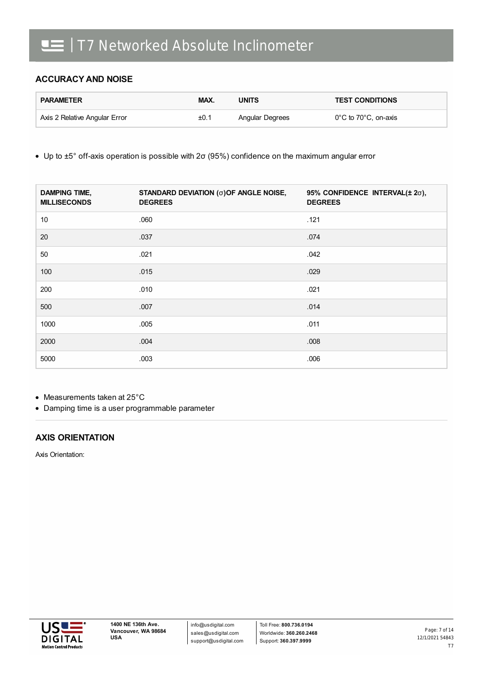#### **ACCURACY AND NOISE**

| <b>PARAMETER</b>              | MAX. | <b>UNITS</b>    | <b>TEST CONDITIONS</b>                    |
|-------------------------------|------|-----------------|-------------------------------------------|
| Axis 2 Relative Angular Error | ±0.1 | Angular Degrees | $0^{\circ}$ C to 70 $^{\circ}$ C, on-axis |

Up to ±5° off-axis operation is possible with 2σ (95%) confidence on the maximum angular error

| <b>DAMPING TIME,</b><br><b>MILLISECONDS</b> | STANDARD DEVIATION $(\sigma)$ OF ANGLE NOISE,<br><b>DEGREES</b> | 95% CONFIDENCE INTERVAL(± 20),<br><b>DEGREES</b> |
|---------------------------------------------|-----------------------------------------------------------------|--------------------------------------------------|
| 10                                          | .060                                                            | .121                                             |
| 20                                          | .037                                                            | .074                                             |
| 50                                          | .021                                                            | .042                                             |
| 100                                         | .015                                                            | .029                                             |
| 200                                         | .010                                                            | .021                                             |
| 500                                         | .007                                                            | .014                                             |
| 1000                                        | .005                                                            | .011                                             |
| 2000                                        | .004                                                            | .008                                             |
| 5000                                        | .003                                                            | .006                                             |

- Measurements taken at 25°C
- Damping time is a user programmable parameter

#### **AXIS ORIENTATION**

Axis Orientation:

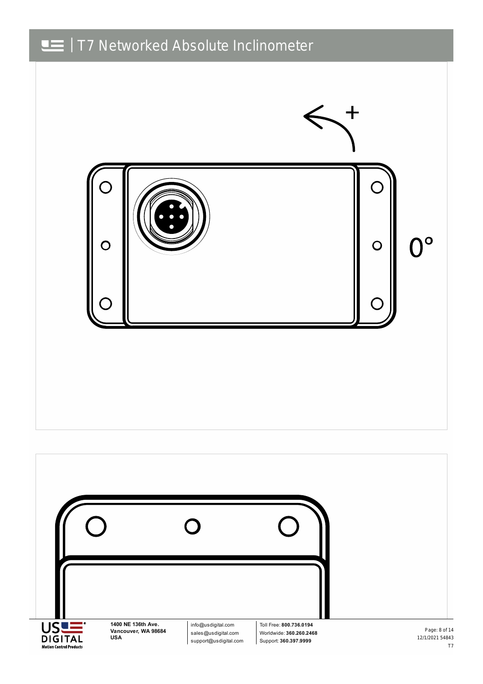

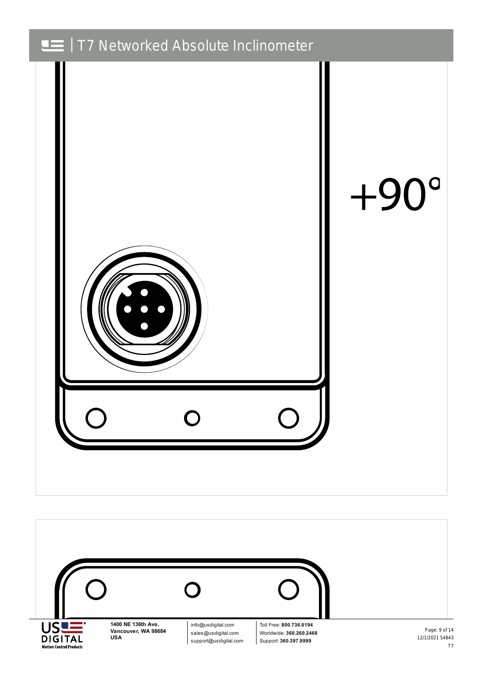

support@usdigital.com

**Motion Control Products** 

Support: **360.397.9999**

12/1/2021 54843 T7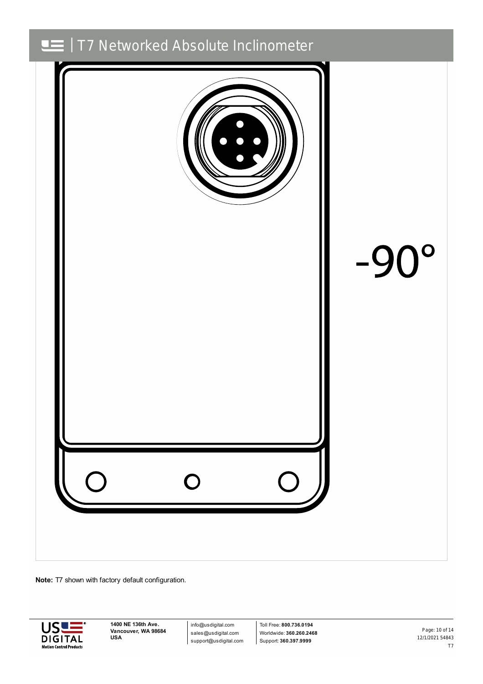

**Note:** T7 shown with factory default configuration.



**1400 NE 136th Ave. Vancouver, WA 98684 USA**

info@usdigital.com sales@usdigital.com support@usdigital.com

Toll Free: **800.736.0194** Worldwide: **360.260.2468** Support: **360.397.9999**

12/1/2021 54843 T7 Page: 10 of 14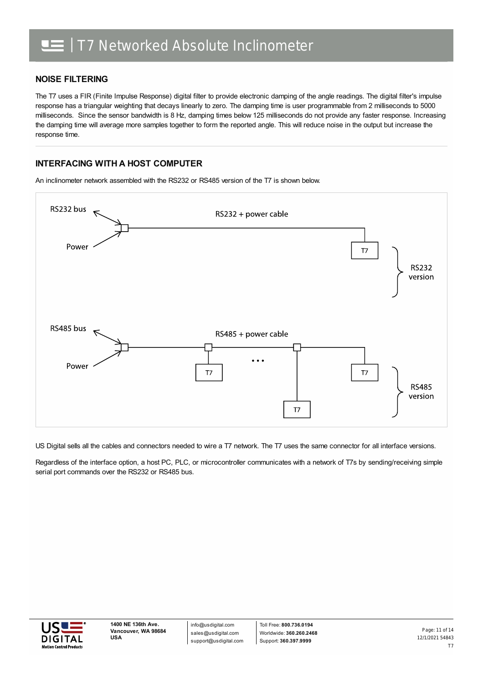#### **NOISE FILTERING**

The T7 uses a FIR (Finite Impulse Response) digital filter to provide electronic damping of the angle readings. The digital filter's impulse response has a triangular weighting that decays linearly to zero. The damping time is user programmable from 2 milliseconds to 5000 milliseconds. Since the sensor bandwidth is 8 Hz, damping times below 125 milliseconds do not provide any faster response. Increasing the damping time will average more samples together to form the reported angle. This will reduce noise in the output but increase the response time.

#### **INTERFACING WITH A HOST COMPUTER**

An inclinometer network assembled with the RS232 or RS485 version of the T7 is shown below.



US Digital sells all the cables and connectors needed to wire a T7 network. The T7 uses the same connector for all interface versions.

Regardless of the interface option, a host PC, PLC, or microcontroller communicates with a network of T7s by sending/receiving simple serial port commands over the RS232 or RS485 bus.



info@usdigital.com sales@usdigital.com support@usdigital.com

Toll Free: **800.736.0194** Worldwide: **360.260.2468** Support: **360.397.9999**

12/1/2021 54843 T7 Page: 11 of 14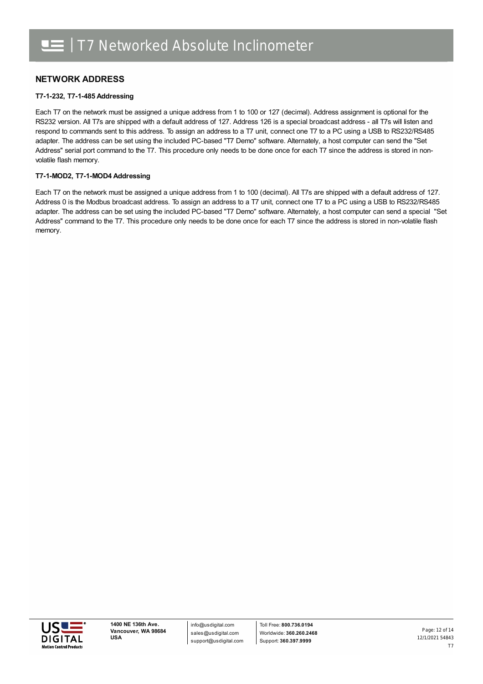#### **NETWORK ADDRESS**

#### **T7-1-232, T7-1-485 Addressing**

Each T7 on the network must be assigned a unique address from 1 to 100 or 127 (decimal). Address assignment is optional for the RS232 version. All T7s are shipped with a default address of 127. Address 126 is a special broadcast address - all T7s will listen and respond to commands sent to this address. To assign an address to a T7 unit, connect one T7 to a PC using a USB to RS232/RS485 adapter. The address can be set using the included PC-based "T7 Demo" software. Alternately, a host computer can send the "Set Address" serial port command to the T7. This procedure only needs to be done once for each T7 since the address is stored in nonvolatile flash memory.

#### **T7-1-MOD2, T7-1-MOD4 Addressing**

Each T7 on the network must be assigned a unique address from 1 to 100 (decimal). All T7s are shipped with a default address of 127. Address 0 is the Modbus broadcast address. To assign an address to a T7 unit, connect one T7 to a PC using a USB to RS232/RS485 adapter. The address can be set using the included PC-based "T7 Demo" software. Alternately, a host computer can send a special "Set Address" command to the T7. This procedure only needs to be done once for each T7 since the address is stored in non-volatile flash memory.

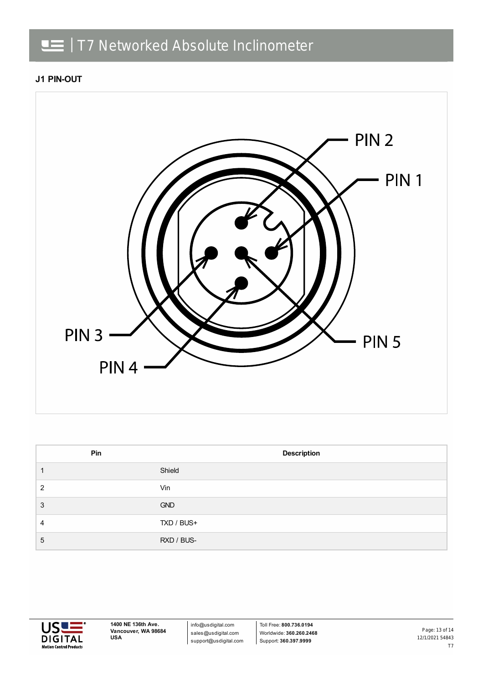#### **J1 PIN-OUT**



|   | Pin |            | <b>Description</b> |
|---|-----|------------|--------------------|
|   |     | Shield     |                    |
| 2 |     | Vin        |                    |
| 3 |     | <b>GND</b> |                    |
| 4 |     | TXD / BUS+ |                    |
| 5 |     | RXD / BUS- |                    |



info@usdigital.com sales@usdigital.com support@usdigital.com

Toll Free: **800.736.0194** Worldwide: **360.260.2468** Support: **360.397.9999**

12/1/2021 54843 T7 Page: 13 of 14